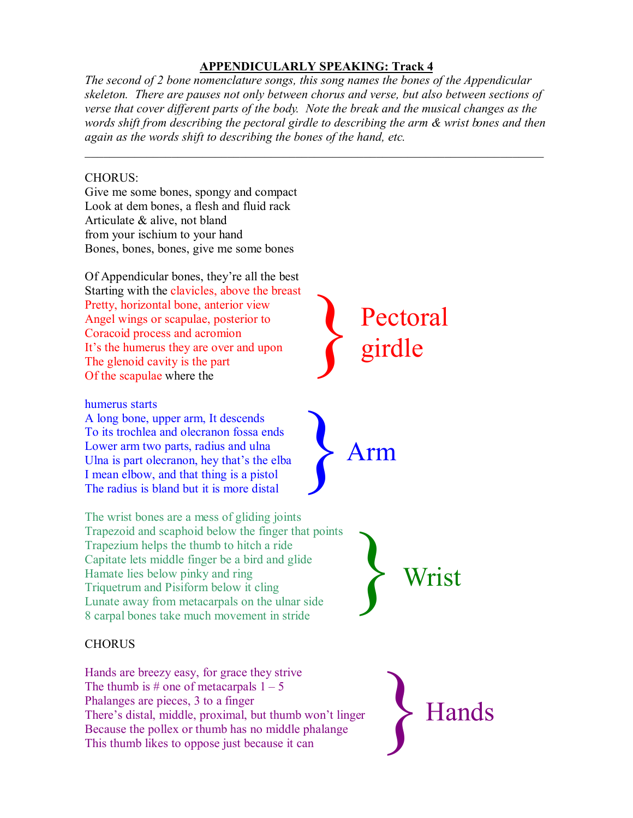## **APPENDICULARLY SPEAKING: Track 4**

*The second of 2 bone nomenclature songs, this song names the bones of the Appendicular skeleton. There are pauses not only between chorus and verse, but also between sections of verse that cover different parts of the body. Note the break and the musical changes as the words shift from describing the pectoral girdle to describing the arm & wrist bones and then again as the words shift to describing the bones of the hand, etc.*

*\_\_\_\_\_\_\_\_\_\_\_\_\_\_\_\_\_\_\_\_\_\_\_\_\_\_\_\_\_\_\_\_\_\_\_\_\_\_\_\_\_\_\_\_\_\_\_\_\_\_\_\_\_\_\_\_\_\_\_\_\_\_\_\_\_\_\_\_\_\_\_\_\_\_*

## CHORUS:

Give me some bones, spongy and compact Look at dem bones, a flesh and fluid rack Articulate & alive, not bland from your ischium to your hand Bones, bones, bones, give me some bones

Of Appendicular bones, they're all the best Starting with the clavicles, above the breast Pretty, horizontal bone, anterior view Angel wings or scapulae, posterior to Coracoid process and acromion It's the humerus they are over and upon The glenoid cavity is the part Of the scapulae where the

## humerus starts

A long bone, upper arm, It descends To its trochlea and olecranon fossa ends Lower arm two parts, radius and ulna Ulna is part olecranon, hey that's the elba I mean elbow, and that thing is a pistol The radius is bland but it is more distal

The wrist bones are a mess of gliding joints Trapezoid and scaphoid below the finger that points Trapezium helps the thumb to hitch a ride Capitate lets middle finger be a bird and glide Hamate lies below pinky and ring Triquetrum and Pisiform below it cling Lunate away from metacarpals on the ulnar side 8 carpal bones take much movement in stride

## **CHORUS**

Hands are breezy easy, for grace they strive The thumb is # one of metacarpals  $1 - 5$ Phalanges are pieces, 3 to a finger There's distal, middle, proximal, but thumb won't linger Because the pollex or thumb has no middle phalange This thumb likes to oppose just because it can



}Arm